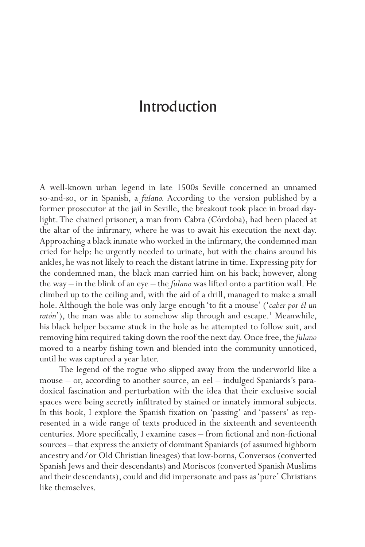A well-known urban legend in late 1500s Seville concerned an unnamed so-and-so, or in Spanish, a *fulano.* According to the version published by a former prosecutor at the jail in Seville, the breakout took place in broad daylight. The chained prisoner, a man from Cabra (Córdoba), had been placed at the altar of the infirmary, where he was to await his execution the next day. Approaching a black inmate who worked in the infirmary, the condemned man cried for help: he urgently needed to urinate, but with the chains around his ankles, he was not likely to reach the distant latrine in time. Expressing pity for the condemned man, the black man carried him on his back; however, along the way – in the blink of an eye – the *fulano* was lifted onto a partition wall. He climbed up to the ceiling and, with the aid of a drill, managed to make a small hole. Although the hole was only large enough 'to fit a mouse' ('*caber por él un*  ratón'), the man was able to somehow slip through and escape.<sup>1</sup> Meanwhile, his black helper became stuck in the hole as he attempted to follow suit, and removing him required taking down the roof the next day. Once free, the *fulano* moved to a nearby fishing town and blended into the community unnoticed, until he was captured a year later.

The legend of the rogue who slipped away from the underworld like a mouse – or, according to another source, an eel – indulged Spaniards's paradoxical fascination and perturbation with the idea that their exclusive social spaces were being secretly infiltrated by stained or innately immoral subjects. In this book, I explore the Spanish fixation on 'passing' and 'passers' as represented in a wide range of texts produced in the sixteenth and seventeenth centuries. More specifically, I examine cases – from fictional and non-fictional sources – that express the anxiety of dominant Spaniards (of assumed highborn ancestry and/or Old Christian lineages) that low-borns, Conversos (converted Spanish Jews and their descendants) and Moriscos (converted Spanish Muslims and their descendants), could and did impersonate and pass as 'pure' Christians like themselves.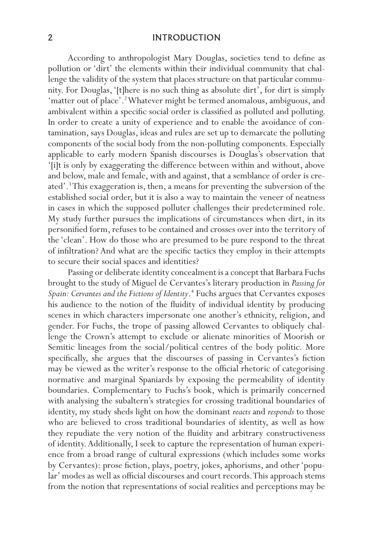According to anthropologist Mary Douglas, societies tend to define as pollution or 'dirt' the elements within their individual community that challenge the validity of the system that places structure on that particular community. For Douglas, '[t]here is no such thing as absolute dirt', for dirt is simply 'matter out of place'.<sup>2</sup> Whatever might be termed anomalous, ambiguous, and ambivalent within a specific social order is classified as polluted and polluting. In order to create a unity of experience and to enable the avoidance of contamination, says Douglas, ideas and rules are set up to demarcate the polluting components of the social body from the non-polluting components. Especially applicable to early modern Spanish discourses is Douglas's observation that '[i]t is only by exaggerating the difference between within and without, above and below, male and female, with and against, that a semblance of order is created'.<sup>3</sup>This exaggeration is, then, a means for preventing the subversion of the established social order, but it is also a way to maintain the veneer of neatness in cases in which the supposed polluter challenges their predetermined role. My study further pursues the implications of circumstances when dirt, in its personified form, refuses to be contained and crosses over into the territory of the 'clean'. How do those who are presumed to be pure respond to the threat of infiltration? And what are the specific tactics they employ in their attempts to secure their social spaces and identities?

Passing or deliberate identity concealment is a concept that Barbara Fuchs brought to the study of Miguel de Cervantes's literary production in *Passing for Spain: Cervantes and the Fictions of Identity*. 4 Fuchs argues that Cervantes exposes his audience to the notion of the fluidity of individual identity by producing scenes in which characters impersonate one another's ethnicity, religion, and gender. For Fuchs, the trope of passing allowed Cervantes to obliquely challenge the Crown's attempt to exclude or alienate minorities of Moorish or Semitic lineages from the social/political centres of the body politic*.* More specifically, she argues that the discourses of passing in Cervantes's fiction may be viewed as the writer's response to the official rhetoric of categorising normative and marginal Spaniards by exposing the permeability of identity boundaries. Complementary to Fuchs's book, which is primarily concerned with analysing the subaltern's strategies for crossing traditional boundaries of identity, my study sheds light on how the dominant *reacts* and *responds* to those who are believed to cross traditional boundaries of identity, as well as how they repudiate the very notion of the fluidity and arbitrary constructiveness of identity. Additionally, I seek to capture the representation of human experience from a broad range of cultural expressions (which includes some works by Cervantes): prose fiction, plays, poetry, jokes, aphorisms, and other 'popular' modes as well as official discourses and court records. This approach stems from the notion that representations of social realities and perceptions may be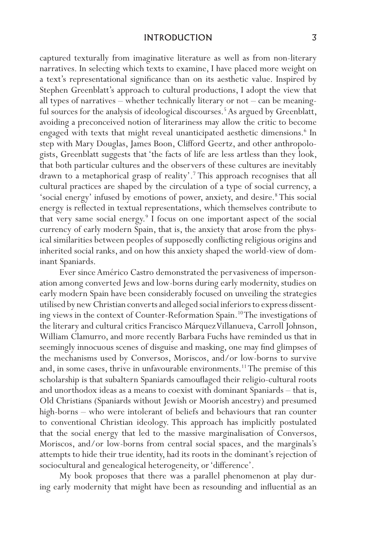captured texturally from imaginative literature as well as from non-literary narratives. In selecting which texts to examine, I have placed more weight on a text's representational significance than on its aesthetic value. Inspired by Stephen Greenblatt's approach to cultural productions, I adopt the view that all types of narratives – whether technically literary or not – can be meaningful sources for the analysis of ideological discourses.<sup>5</sup> As argued by Greenblatt, avoiding a preconceived notion of literariness may allow the critic to become engaged with texts that might reveal unanticipated aesthetic dimensions.<sup>6</sup> In step with Mary Douglas, James Boon, Clifford Geertz, and other anthropologists, Greenblatt suggests that 'the facts of life are less artless than they look, that both particular cultures and the observers of these cultures are inevitably drawn to a metaphorical grasp of reality'.7 This approach recognises that all cultural practices are shaped by the circulation of a type of social currency, a 'social energy' infused by emotions of power, anxiety, and desire.<sup>8</sup> This social energy is reflected in textual representations, which themselves contribute to that very same social energy.<sup>9</sup> I focus on one important aspect of the social currency of early modern Spain, that is, the anxiety that arose from the physical similarities between peoples of supposedly conflicting religious origins and inherited social ranks, and on how this anxiety shaped the world-view of dominant Spaniards.

Ever since Américo Castro demonstrated the pervasiveness of impersonation among converted Jews and low-borns during early modernity, studies on early modern Spain have been considerably focused on unveiling the strategies utilised by new Christian converts and alleged social inferiors to express dissenting views in the context of Counter-Reformation Spain.10 The investigations of the literary and cultural critics Francisco Márquez Villanueva, Carroll Johnson, William Clamurro, and more recently Barbara Fuchs have reminded us that in seemingly innocuous scenes of disguise and masking, one may find glimpses of the mechanisms used by Conversos, Moriscos, and/or low-borns to survive and, in some cases, thrive in unfavourable environments.<sup>11</sup> The premise of this scholarship is that subaltern Spaniards camouflaged their religio-cultural roots and unorthodox ideas as a means to coexist with dominant Spaniards – that is, Old Christians (Spaniards without Jewish or Moorish ancestry) and presumed high-borns – who were intolerant of beliefs and behaviours that ran counter to conventional Christian ideology. This approach has implicitly postulated that the social energy that led to the massive marginalisation of Conversos, Moriscos, and/or low-borns from central social spaces, and the marginals's attempts to hide their true identity, had its roots in the dominant's rejection of sociocultural and genealogical heterogeneity, or 'difference'.

My book proposes that there was a parallel phenomenon at play during early modernity that might have been as resounding and influential as an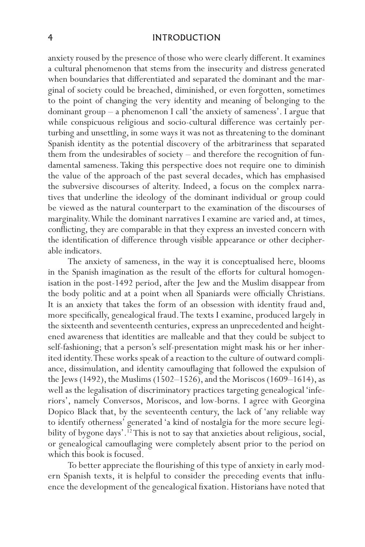anxiety roused by the presence of those who were clearly different. It examines a cultural phenomenon that stems from the insecurity and distress generated when boundaries that differentiated and separated the dominant and the marginal of society could be breached, diminished, or even forgotten, sometimes to the point of changing the very identity and meaning of belonging to the dominant group – a phenomenon I call 'the anxiety of sameness'. I argue that while conspicuous religious and socio-cultural difference was certainly perturbing and unsettling, in some ways it was not as threatening to the dominant Spanish identity as the potential discovery of the arbitrariness that separated them from the undesirables of society – and therefore the recognition of fundamental sameness. Taking this perspective does not require one to diminish the value of the approach of the past several decades, which has emphasised the subversive discourses of alterity. Indeed, a focus on the complex narratives that underline the ideology of the dominant individual or group could be viewed as the natural counterpart to the examination of the discourses of marginality. While the dominant narratives I examine are varied and, at times, conflicting, they are comparable in that they express an invested concern with the identification of difference through visible appearance or other decipherable indicators.

The anxiety of sameness, in the way it is conceptualised here, blooms in the Spanish imagination as the result of the efforts for cultural homogenisation in the post-1492 period, after the Jew and the Muslim disappear from the body politic and at a point when all Spaniards were officially Christians. It is an anxiety that takes the form of an obsession with identity fraud and, more specifically, genealogical fraud. The texts I examine, produced largely in the sixteenth and seventeenth centuries, express an unprecedented and heightened awareness that identities are malleable and that they could be subject to self-fashioning; that a person's self-presentation might mask his or her inherited identity. These works speak of a reaction to the culture of outward compliance, dissimulation, and identity camouflaging that followed the expulsion of the Jews (1492), the Muslims (1502–1526), and the Moriscos (1609–1614), as well as the legalisation of discriminatory practices targeting genealogical 'inferiors', namely Conversos, Moriscos, and low-borns. I agree with Georgina Dopico Black that, by the seventeenth century, the lack of 'any reliable way to identify otherness' generated 'a kind of nostalgia for the more secure legibility of bygone days'.<sup>12</sup> This is not to say that anxieties about religious, social, or genealogical camouflaging were completely absent prior to the period on which this book is focused.

To better appreciate the flourishing of this type of anxiety in early modern Spanish texts, it is helpful to consider the preceding events that influence the development of the genealogical fixation. Historians have noted that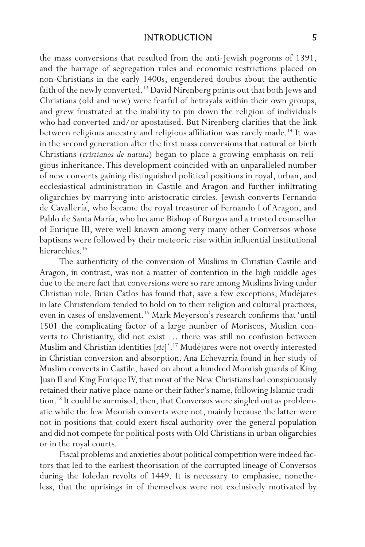the mass conversions that resulted from the anti-Jewish pogroms of 1391, and the barrage of segregation rules and economic restrictions placed on non-Christians in the early 1400s, engendered doubts about the authentic faith of the newly converted.<sup>13</sup> David Nirenberg points out that both Jews and Christians (old and new) were fearful of betrayals within their own groups, and grew frustrated at the inability to pin down the religion of individuals who had converted and/or apostatised. But Nirenberg clarifies that the link between religious ancestry and religious affiliation was rarely made.<sup>14</sup> It was in the second generation after the first mass conversions that natural or birth Christians (*cristianos de natura*) began to place a growing emphasis on religious inheritance. This development coincided with an unparalleled number of new converts gaining distinguished political positions in royal, urban, and ecclesiastical administration in Castile and Aragon and further infiltrating oligarchies by marrying into aristocratic circles. Jewish converts Fernando de Cavallería, who became the royal treasurer of Fernando I of Aragon, and Pablo de Santa María, who became Bishop of Burgos and a trusted counsellor of Enrique III, were well known among very many other Conversos whose baptisms were followed by their meteoric rise within influential institutional hierarchies.<sup>15</sup>

The authenticity of the conversion of Muslims in Christian Castile and Aragon, in contrast, was not a matter of contention in the high middle ages due to the mere fact that conversions were so rare among Muslims living under Christian rule. Brian Catlos has found that, save a few exceptions, Mudéjares in late Christendom tended to hold on to their religion and cultural practices, even in cases of enslavement.<sup>16</sup> Mark Meyerson's research confirms that 'until 1501 the complicating factor of a large number of Moriscos, Muslim converts to Christianity, did not exist … there was still no confusion between Muslim and Christian identities [*sic*]'.17 Mudéjares were not overtly interested in Christian conversion and absorption. Ana Echevarría found in her study of Muslim converts in Castile, based on about a hundred Moorish guards of King Juan II and King Enrique IV, that most of the New Christians had conspicuously retained their native place-name or their father's name, following Islamic tradition.18 It could be surmised, then, that Conversos were singled out as problematic while the few Moorish converts were not, mainly because the latter were not in positions that could exert fiscal authority over the general population and did not compete for political posts with Old Christians in urban oligarchies or in the royal courts.

Fiscal problems and anxieties about political competition were indeed factors that led to the earliest theorisation of the corrupted lineage of Conversos during the Toledan revolts of 1449. It is necessary to emphasise, nonetheless, that the uprisings in of themselves were not exclusively motivated by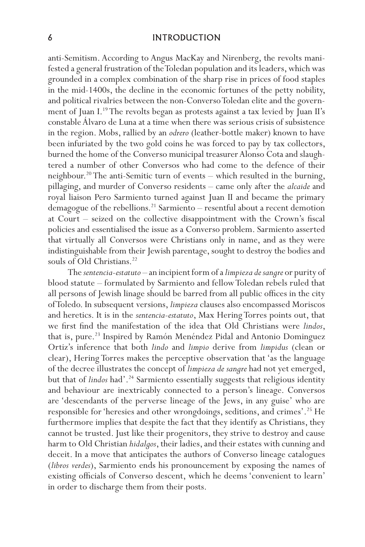anti-Semitism. According to Angus MacKay and Nirenberg, the revolts manifested a general frustration of the Toledan population and its leaders, which was grounded in a complex combination of the sharp rise in prices of food staples in the mid-1400s, the decline in the economic fortunes of the petty nobility, and political rivalries between the non-Converso Toledan elite and the government of Juan I.<sup>19</sup> The revolts began as protests against a tax levied by Juan II's constable Álvaro de Luna at a time when there was serious crisis of subsistence in the region. Mobs, rallied by an *odrero* (leather-bottle maker) known to have been infuriated by the two gold coins he was forced to pay by tax collectors, burned the home of the Converso municipal treasurer Alonso Cota and slaughtered a number of other Conversos who had come to the defence of their neighbour.<sup>20</sup> The anti-Semitic turn of events – which resulted in the burning, pillaging, and murder of Converso residents – came only after the *alcaide* and royal liaison Pero Sarmiento turned against Juan II and became the primary demagogue of the rebellions.<sup>21</sup> Sarmiento – resentful about a recent demotion at Court – seized on the collective disappointment with the Crown's fiscal policies and essentialised the issue as a Converso problem. Sarmiento asserted that virtually all Conversos were Christians only in name, and as they were indistinguishable from their Jewish parentage, sought to destroy the bodies and souls of Old Christians.<sup>22</sup>

The *sentencia-estatuto* – an incipient form of a *limpieza de sangre* or purity of blood statute – formulated by Sarmiento and fellow Toledan rebels ruled that all persons of Jewish linage should be barred from all public offices in the city of Toledo. In subsequent versions, *limpieza* clauses also encompassed Moriscos and heretics. It is in the *sentencia-estatuto*, Max Hering Torres points out, that we first find the manifestation of the idea that Old Christians were *lindos*, that is, pure.<sup>23</sup> Inspired by Ramón Menéndez Pidal and Antonio Dominguez Ortiz's inference that both *lindo* and *limpio* derive from *limpidus* (clean or clear), Hering Torres makes the perceptive observation that 'as the language of the decree illustrates the concept of *limpieza de sangre* had not yet emerged, but that of *lindos* had'.<sup>24</sup> Sarmiento essentially suggests that religious identity and behaviour are inextricably connected to a person's lineage. Conversos are 'descendants of the perverse lineage of the Jews, in any guise' who are responsible for 'heresies and other wrongdoings, seditions, and crimes'.<sup>25</sup> He furthermore implies that despite the fact that they identify as Christians, they cannot be trusted. Just like their progenitors, they strive to destroy and cause harm to Old Christian *hidalgos*, their ladies, and their estates with cunning and deceit. In a move that anticipates the authors of Converso lineage catalogues (*libros verdes*), Sarmiento ends his pronouncement by exposing the names of existing officials of Converso descent, which he deems 'convenient to learn' in order to discharge them from their posts.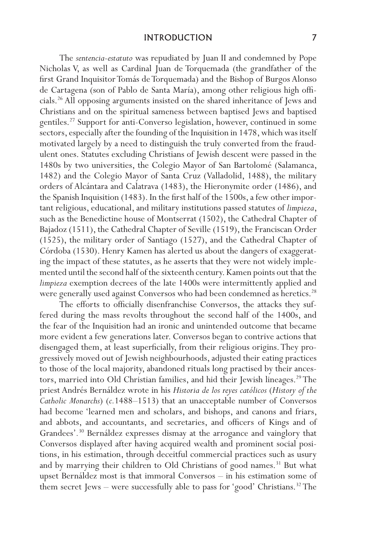The *sentencia-estatuto* was repudiated by Juan II and condemned by Pope Nicholas V, as well as Cardinal Juan de Torquemada (the grandfather of the first Grand Inquisitor Tomás de Torquemada) and the Bishop of Burgos Alonso de Cartagena (son of Pablo de Santa María), among other religious high officials.26 All opposing arguments insisted on the shared inheritance of Jews and Christians and on the spiritual sameness between baptised Jews and baptised gentiles.<sup>27</sup> Support for anti-Converso legislation, however, continued in some sectors, especially after the founding of the Inquisition in 1478, which was itself motivated largely by a need to distinguish the truly converted from the fraudulent ones. Statutes excluding Christians of Jewish descent were passed in the 1480s by two universities, the Colegio Mayor of San Bartolomé (Salamanca, 1482) and the Colegio Mayor of Santa Cruz (Valladolid, 1488), the military orders of Alcántara and Calatrava (1483), the Hieronymite order (1486), and the Spanish Inquisition (1483). In the first half of the 1500s, a few other important religious, educational, and military institutions passed statutes of *limpieza*, such as the Benedictine house of Montserrat (1502), the Cathedral Chapter of Bajadoz (1511), the Cathedral Chapter of Seville (1519), the Franciscan Order (1525), the military order of Santiago (1527), and the Cathedral Chapter of Córdoba (1530). Henry Kamen has alerted us about the dangers of exaggerating the impact of these statutes, as he asserts that they were not widely implemented until the second half of the sixteenth century. Kamen points out that the *limpieza* exemption decrees of the late 1400s were intermittently applied and were generally used against Conversos who had been condemned as heretics.<sup>28</sup>

The efforts to officially disenfranchise Conversos, the attacks they suffered during the mass revolts throughout the second half of the 1400s, and the fear of the Inquisition had an ironic and unintended outcome that became more evident a few generations later. Conversos began to contrive actions that disengaged them, at least superficially, from their religious origins. They progressively moved out of Jewish neighbourhoods, adjusted their eating practices to those of the local majority, abandoned rituals long practised by their ancestors, married into Old Christian families, and hid their Jewish lineages.<sup>29</sup> The priest Andrés Bernáldez wrote in his *Historia de los reyes católicos* (*History of the Catholic Monarchs*) (*c.*1488–1513) that an unacceptable number of Conversos had become 'learned men and scholars, and bishops, and canons and friars, and abbots, and accountants, and secretaries, and officers of Kings and of Grandees'*.* 30 Bernáldez expresses dismay at the arrogance and vainglory that Conversos displayed after having acquired wealth and prominent social positions, in his estimation, through deceitful commercial practices such as usury and by marrying their children to Old Christians of good names.<sup>31</sup> But what upset Bernáldez most is that immoral Conversos – in his estimation some of them secret Jews – were successfully able to pass for 'good' Christians.<sup>32</sup> The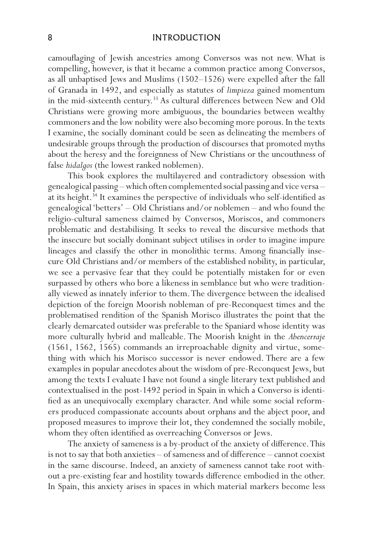camouflaging of Jewish ancestries among Conversos was not new. What is compelling, however, is that it became a common practice among Conversos, as all unbaptised Jews and Muslims (1502–1526) were expelled after the fall of Granada in 1492, and especially as statutes of *limpieza* gained momentum in the mid-sixteenth century.33 As cultural differences between New and Old Christians were growing more ambiguous, the boundaries between wealthy commoners and the low nobility were also becoming more porous. In the texts I examine, the socially dominant could be seen as delineating the members of undesirable groups through the production of discourses that promoted myths about the heresy and the foreignness of New Christians or the uncouthness of false *hidalgos* (the lowest ranked noblemen).

This book explores the multilayered and contradictory obsession with genealogical passing – which often complemented social passing and vice versa – at its height.<sup>34</sup> It examines the perspective of individuals who self-identified as genealogical 'betters' – Old Christians and/or noblemen – and who found the religio-cultural sameness claimed by Conversos, Moriscos, and commoners problematic and destabilising. It seeks to reveal the discursive methods that the insecure but socially dominant subject utilises in order to imagine impure lineages and classify the other in monolithic terms. Among financially insecure Old Christians and/or members of the established nobility, in particular, we see a pervasive fear that they could be potentially mistaken for or even surpassed by others who bore a likeness in semblance but who were traditionally viewed as innately inferior to them. The divergence between the idealised depiction of the foreign Moorish nobleman of pre-Reconquest times and the problematised rendition of the Spanish Morisco illustrates the point that the clearly demarcated outsider was preferable to the Spaniard whose identity was more culturally hybrid and malleable. The Moorish knight in the *Abencerraje* (1561, 1562, 1565) commands an irreproachable dignity and virtue, something with which his Morisco successor is never endowed. There are a few examples in popular anecdotes about the wisdom of pre-Reconquest Jews, but among the texts I evaluate I have not found a single literary text published and contextualised in the post-1492 period in Spain in which a Converso is identified as an unequivocally exemplary character. And while some social reformers produced compassionate accounts about orphans and the abject poor, and proposed measures to improve their lot, they condemned the socially mobile, whom they often identified as overreaching Conversos or Jews.

The anxiety of sameness is a by-product of the anxiety of difference. This is not to say that both anxieties – of sameness and of difference – cannot coexist in the same discourse. Indeed, an anxiety of sameness cannot take root without a pre-existing fear and hostility towards difference embodied in the other. In Spain, this anxiety arises in spaces in which material markers become less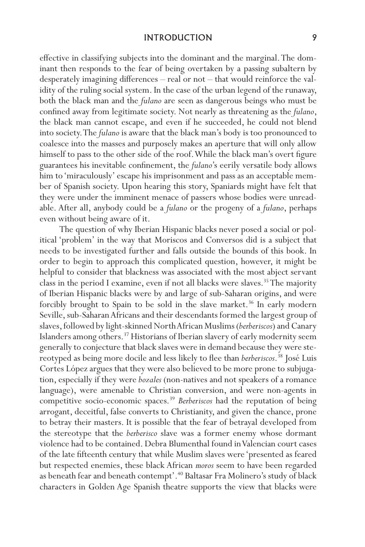effective in classifying subjects into the dominant and the marginal. The dominant then responds to the fear of being overtaken by a passing subaltern by desperately imagining differences – real or not – that would reinforce the validity of the ruling social system. In the case of the urban legend of the runaway, both the black man and the *fulano* are seen as dangerous beings who must be confined away from legitimate society. Not nearly as threatening as the *fulano*, the black man cannot escape, and even if he succeeded, he could not blend into society. The *fulano* is aware that the black man's body is too pronounced to coalesce into the masses and purposely makes an aperture that will only allow himself to pass to the other side of the roof. While the black man's overt figure guarantees his inevitable confinement, the *fulano*'s eerily versatile body allows him to 'miraculously' escape his imprisonment and pass as an acceptable member of Spanish society. Upon hearing this story, Spaniards might have felt that they were under the imminent menace of passers whose bodies were unreadable. After all, anybody could be a *fulano* or the progeny of a *fulano*, perhaps even without being aware of it.

The question of why Iberian Hispanic blacks never posed a social or political 'problem' in the way that Moriscos and Conversos did is a subject that needs to be investigated further and falls outside the bounds of this book. In order to begin to approach this complicated question, however, it might be helpful to consider that blackness was associated with the most abject servant class in the period I examine, even if not all blacks were slaves.<sup>35</sup> The majority of Iberian Hispanic blacks were by and large of sub-Saharan origins, and were forcibly brought to Spain to be sold in the slave market.<sup>36</sup> In early modern Seville, sub-Saharan Africans and their descendants formed the largest group of slaves, followed by light-skinned North African Muslims (*berberiscos*) and Canary Islanders among others.37 Historians of Iberian slavery of early modernity seem generally to conjecture that black slaves were in demand because they were stereotyped as being more docile and less likely to flee than *berberiscos*. 38 José Luis Cortes López argues that they were also believed to be more prone to subjugation, especially if they were *bozales* (non-natives and not speakers of a romance language), were amenable to Christian conversion, and were non-agents in competitive socio-economic spaces.39 *Berberiscos* had the reputation of being arrogant, deceitful, false converts to Christianity, and given the chance, prone to betray their masters. It is possible that the fear of betrayal developed from the stereotype that the *berberisco* slave was a former enemy whose dormant violence had to be contained. Debra Blumenthal found in Valencian court cases of the late fifteenth century that while Muslim slaves were 'presented as feared but respected enemies, these black African *moros* seem to have been regarded as beneath fear and beneath contempt'.40 Baltasar Fra Molinero's study of black characters in Golden Age Spanish theatre supports the view that blacks were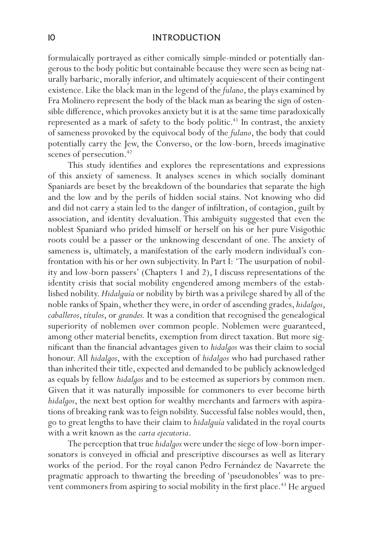formulaically portrayed as either comically simple-minded or potentially dangerous to the body politic but containable because they were seen as being naturally barbaric, morally inferior, and ultimately acquiescent of their contingent existence. Like the black man in the legend of the *fulano*, the plays examined by Fra Molinero represent the body of the black man as bearing the sign of ostensible difference, which provokes anxiety but it is at the same time paradoxically represented as a mark of safety to the body politic.41 In contrast, the anxiety of sameness provoked by the equivocal body of the *fulano*, the body that could potentially carry the Jew, the Converso, or the low-born, breeds imaginative scenes of persecution.<sup>42</sup>

This study identifies and explores the representations and expressions of this anxiety of sameness. It analyses scenes in which socially dominant Spaniards are beset by the breakdown of the boundaries that separate the high and the low and by the perils of hidden social stains. Not knowing who did and did not carry a stain led to the danger of infiltration, of contagion, guilt by association, and identity devaluation. This ambiguity suggested that even the noblest Spaniard who prided himself or herself on his or her pure Visigothic roots could be a passer or the unknowing descendant of one*.* The anxiety of sameness is, ultimately, a manifestation of the early modern individual's confrontation with his or her own subjectivity. In Part I: 'The usurpation of nobility and low-born passers' (Chapters 1 and 2), I discuss representations of the identity crisis that social mobility engendered among members of the established nobility. *Hidalguía* or nobility by birth was a privilege shared by all of the noble ranks of Spain, whether they were, in order of ascending grades, *hidalgos*, *caballeros*, *títulos*, or *grandes.* It was a condition that recognised the genealogical superiority of noblemen over common people. Noblemen were guaranteed, among other material benefits, exemption from direct taxation. But more significant than the financial advantages given to *hidalgos* was their claim to social honour. All *hidalgos*, with the exception of *hidalgos* who had purchased rather than inherited their title, expected and demanded to be publicly acknowledged as equals by fellow *hidalgos* and to be esteemed as superiors by common men. Given that it was naturally impossible for commoners to ever become birth *hidalgos*, the next best option for wealthy merchants and farmers with aspirations of breaking rank was to feign nobility. Successful false nobles would, then, go to great lengths to have their claim to *hidalguía* validated in the royal courts with a writ known as the *carta ejecutoria*.

The perception that true *hidalgos* were under the siege of low-born impersonators is conveyed in official and prescriptive discourses as well as literary works of the period. For the royal canon Pedro Fernández de Navarrete the pragmatic approach to thwarting the breeding of 'pseudonobles' was to prevent commoners from aspiring to social mobility in the first place.<sup>43</sup> He argued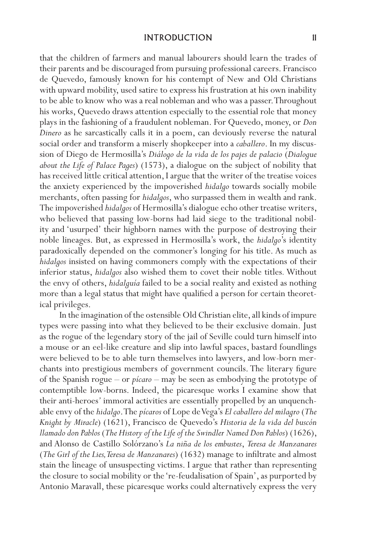that the children of farmers and manual labourers should learn the trades of their parents and be discouraged from pursuing professional careers. Francisco de Quevedo, famously known for his contempt of New and Old Christians with upward mobility, used satire to express his frustration at his own inability to be able to know who was a real nobleman and who was a passer. Throughout his works, Quevedo draws attention especially to the essential role that money plays in the fashioning of a fraudulent nobleman. For Quevedo, money, or *Don Dinero* as he sarcastically calls it in a poem, can deviously reverse the natural social order and transform a miserly shopkeeper into a *caballero*. In my discussion of Diego de Hermosilla's *Diálogo de la vida de los pajes de palacio* (*Dialogue about the Life of Palace Pages*) (1573), a dialogue on the subject of nobility that has received little critical attention, I argue that the writer of the treatise voices the anxiety experienced by the impoverished *hidalgo* towards socially mobile merchants, often passing for *hidalgos*, who surpassed them in wealth and rank. The impoverished *hidalgos* of Hermosilla's dialogue echo other treatise writers, who believed that passing low-borns had laid siege to the traditional nobility and 'usurped' their highborn names with the purpose of destroying their noble lineages. But, as expressed in Hermosilla's work, the *hidalgo*'s identity paradoxically depended on the commoner's longing for his title. As much as *hidalgos* insisted on having commoners comply with the expectations of their inferior status, *hidalgos* also wished them to covet their noble titles*.* Without the envy of others, *hidalguía* failed to be a social reality and existed as nothing more than a legal status that might have qualified a person for certain theoretical privileges.

In the imagination of the ostensible Old Christian elite, all kinds of impure types were passing into what they believed to be their exclusive domain. Just as the rogue of the legendary story of the jail of Seville could turn himself into a mouse or an eel-like creature and slip into lawful spaces, bastard foundlings were believed to be to able turn themselves into lawyers, and low-born merchants into prestigious members of government councils. The literary figure of the Spanish rogue – or *pícaro* – may be seen as embodying the prototype of contemptible low-borns. Indeed, the picaresque works I examine show that their anti-heroes*'* immoral activities are essentially propelled by an unquenchable envy of the *hidalgo*. The *pícaros* of Lope de Vega's *El caballero del milagro* (*The Knight by Miracle*) (1621), Francisco de Quevedo's *Historia de la vida del buscón llamado don Pablos* (*The History of the Life of the Swindler Named Don Pablos*) (1626), and Alonso de Castillo Solórzano's *La niña de los embustes*, *Teresa de Manzanares* (*The Girl of the Lies, Teresa de Manzanares*) (1632) manage to infiltrate and almost stain the lineage of unsuspecting victims. I argue that rather than representing the closure to social mobility or the 're-feudalisation of Spain', as purported by Antonio Maravall, these picaresque works could alternatively express the very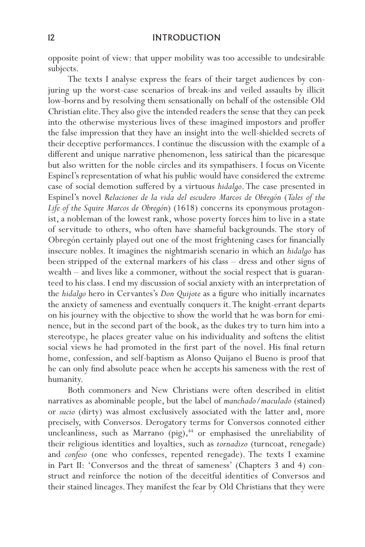opposite point of view: that upper mobility was too accessible to undesirable subjects.

The texts I analyse express the fears of their target audiences by conjuring up the worst-case scenarios of break-ins and veiled assaults by illicit low-borns and by resolving them sensationally on behalf of the ostensible Old Christian elite. They also give the intended readers the sense that they can peek into the otherwise mysterious lives of these imagined impostors and proffer the false impression that they have an insight into the well-shielded secrets of their deceptive performances. I continue the discussion with the example of a different and unique narrative phenomenon, less satirical than the picaresque but also written for the noble circles and its sympathisers. I focus on Vicente Espinel's representation of what his public would have considered the extreme case of social demotion suffered by a virtuous *hidalgo*. The case presented in Espinel's novel *Relaciones de la vida del escudero Marcos de Obregón* (*Tales of the Life of the Squire Marcos de Obregón*) (1618) concerns its eponymous protagonist, a nobleman of the lowest rank, whose poverty forces him to live in a state of servitude to others, who often have shameful backgrounds. The story of Obregón certainly played out one of the most frightening cases for financially insecure nobles. It imagines the nightmarish scenario in which an *hidalgo* has been stripped of the external markers of his class – dress and other signs of wealth – and lives like a commoner, without the social respect that is guaranteed to his class. I end my discussion of social anxiety with an interpretation of the *hidalgo* hero in Cervantes's *Don Quijote* as a figure who initially incarnates the anxiety of sameness and eventually conquers it. The knight-errant departs on his journey with the objective to show the world that he was born for eminence, but in the second part of the book, as the dukes try to turn him into a stereotype, he places greater value on his individuality and softens the elitist social views he had promoted in the first part of the novel. His final return home, confession, and self-baptism as Alonso Quijano el Bueno is proof that he can only find absolute peace when he accepts his sameness with the rest of humanity.

Both commoners and New Christians were often described in elitist narratives as abominable people, but the label of *manchado/maculado* (stained) or *sucio* (dirty) was almost exclusively associated with the latter and, more precisely, with Conversos. Derogatory terms for Conversos connoted either uncleanliness, such as Marrano (pig),<sup>44</sup> or emphasised the unreliability of their religious identities and loyalties, such as *tornadizo* (turncoat, renegade) and *confeso* (one who confesses, repented renegade). The texts I examine in Part II: 'Conversos and the threat of sameness' (Chapters 3 and 4) construct and reinforce the notion of the deceitful identities of Conversos and their stained lineages. They manifest the fear by Old Christians that they were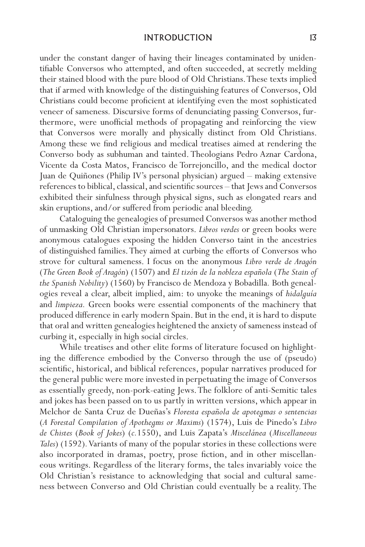under the constant danger of having their lineages contaminated by unidentifiable Conversos who attempted, and often succeeded, at secretly melding their stained blood with the pure blood of Old Christians. These texts implied that if armed with knowledge of the distinguishing features of Conversos, Old Christians could become proficient at identifying even the most sophisticated veneer of sameness*.* Discursive forms of denunciating passing Conversos, furthermore, were unofficial methods of propagating and reinforcing the view that Conversos were morally and physically distinct from Old Christians. Among these we find religious and medical treatises aimed at rendering the Converso body as subhuman and tainted. Theologians Pedro Aznar Cardona, Vicente da Costa Matos, Francisco de Torrejoncillo, and the medical doctor Juan de Quiñones (Philip IV's personal physician) argued – making extensive references to biblical, classical, and scientific sources – that Jews and Conversos exhibited their sinfulness through physical signs, such as elongated rears and skin eruptions, and/or suffered from periodic anal bleeding.

Cataloguing the genealogies of presumed Conversos was another method of unmasking Old Christian impersonators. *Libros verdes* or green books were anonymous catalogues exposing the hidden Converso taint in the ancestries of distinguished families. They aimed at curbing the efforts of Conversos who strove for cultural sameness. I focus on the anonymous *Libro verde de Aragón* (*The Green Book of Aragón*) (1507) and *El tizón de la nobleza española* (*The Stain of the Spanish Nobility*) (1560) by Francisco de Mendoza y Bobadilla*.* Both genealogies reveal a clear, albeit implied, aim: to unyoke the meanings of *hidalguía* and *limpieza.* Green books were essential components of the machinery that produced difference in early modern Spain. But in the end, it is hard to dispute that oral and written genealogies heightened the anxiety of sameness instead of curbing it, especially in high social circles.

While treatises and other elite forms of literature focused on highlighting the difference embodied by the Converso through the use of (pseudo) scientific, historical, and biblical references, popular narratives produced for the general public were more invested in perpetuating the image of Conversos as essentially greedy, non-pork-eating Jews. The folklore of anti-Semitic tales and jokes has been passed on to us partly in written versions, which appear in Melchor de Santa Cruz de Dueñas's *Floresta española de apotegmas o sentencias* (*A Forestal Compilation of Apothegms or Maxims*) (1574), Luis de Pinedo's *Libro de Chistes* (*Book of Jokes*) (*c.*1550), and Luis Zapata's *Miscelánea* (*Miscellaneous Tales*) (1592)*.* Variants of many of the popular stories in these collections were also incorporated in dramas, poetry, prose fiction, and in other miscellaneous writings. Regardless of the literary forms, the tales invariably voice the Old Christian's resistance to acknowledging that social and cultural sameness between Converso and Old Christian could eventually be a reality. The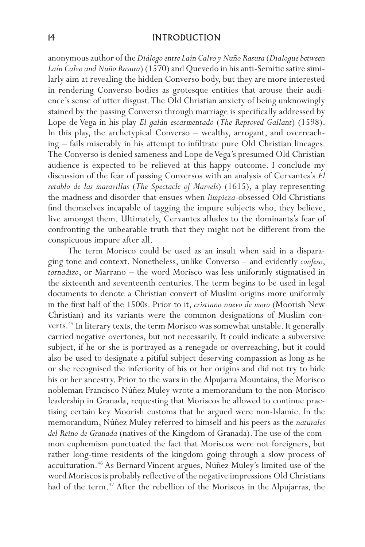anonymous author of the *Diálogo entre Laín Calvo y Nuño Rasura* (*Dialogue between Laín Calvo and Nuño Rasura*) (1570) and Quevedo in his anti-Semitic satire similarly aim at revealing the hidden Converso body, but they are more interested in rendering Converso bodies as grotesque entities that arouse their audience's sense of utter disgust. The Old Christian anxiety of being unknowingly stained by the passing Converso through marriage is specifically addressed by Lope de Vega in his play *El galán escarmentado* (*The Reproved Gallant*) (1598). In this play, the archetypical Converso – wealthy, arrogant, and overreaching – fails miserably in his attempt to infiltrate pure Old Christian lineages. The Converso is denied sameness and Lope de Vega's presumed Old Christian audience is expected to be relieved at this happy outcome. I conclude my discussion of the fear of passing Conversos with an analysis of Cervantes's *El retablo de las maravillas* (*The Spectacle of Marvels*) (1615), a play representing the madness and disorder that ensues when *limpieza*-obsessed Old Christians find themselves incapable of tagging the impure subjects who, they believe, live amongst them. Ultimately, Cervantes alludes to the dominants's fear of confronting the unbearable truth that they might not be different from the conspicuous impure after all.

The term Morisco could be used as an insult when said in a disparaging tone and context. Nonetheless, unlike Converso – and evidently *confeso*, *tornadizo*, or Marrano – the word Morisco was less uniformly stigmatised in the sixteenth and seventeenth centuries. The term begins to be used in legal documents to denote a Christian convert of Muslim origins more uniformly in the first half of the 1500s. Prior to it, *cristiano nuevo de moro* (Moorish New Christian) and its variants were the common designations of Muslim converts.<sup>45</sup> In literary texts, the term Morisco was somewhat unstable. It generally carried negative overtones, but not necessarily. It could indicate a subversive subject, if he or she is portrayed as a renegade or overreaching, but it could also be used to designate a pitiful subject deserving compassion as long as he or she recognised the inferiority of his or her origins and did not try to hide his or her ancestry. Prior to the wars in the Alpujarra Mountains, the Morisco nobleman Francisco Núñez Muley wrote a memorandum to the non-Morisco leadership in Granada, requesting that Moriscos be allowed to continue practising certain key Moorish customs that he argued were non-Islamic. In the memorandum, Núñez Muley referred to himself and his peers as the *naturales del Reino de Granada* (natives of the Kingdom of Granada). The use of the common euphemism punctuated the fact that Moriscos were not foreigners, but rather long-time residents of the kingdom going through a slow process of acculturation.46 As Bernard Vincent argues, Núñez Muley's limited use of the word Moriscos is probably reflective of the negative impressions Old Christians had of the term.<sup>47</sup> After the rebellion of the Moriscos in the Alpujarras, the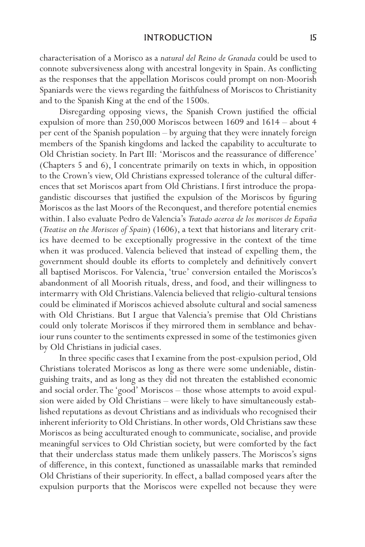characterisation of a Morisco as a *natural del Reino de Granada* could be used to connote subversiveness along with ancestral longevity in Spain. As conflicting as the responses that the appellation Moriscos could prompt on non-Moorish Spaniards were the views regarding the faithfulness of Moriscos to Christianity and to the Spanish King at the end of the 1500s.

Disregarding opposing views, the Spanish Crown justified the official expulsion of more than 250,000 Moriscos between 1609 and 1614 – about 4 per cent of the Spanish population – by arguing that they were innately foreign members of the Spanish kingdoms and lacked the capability to acculturate to Old Christian society. In Part III: 'Moriscos and the reassurance of difference' (Chapters 5 and 6), I concentrate primarily on texts in which, in opposition to the Crown's view, Old Christians expressed tolerance of the cultural differences that set Moriscos apart from Old Christians. I first introduce the propagandistic discourses that justified the expulsion of the Moriscos by figuring Moriscos as the last Moors of the Reconquest, and therefore potential enemies within. I also evaluate Pedro de Valencia's *Tratado acerca de los moriscos de España* (*Treatise on the Moriscos of Spain*) (1606), a text that historians and literary critics have deemed to be exceptionally progressive in the context of the time when it was produced. Valencia believed that instead of expelling them, the government should double its efforts to completely and definitively convert all baptised Moriscos. For Valencia, 'true' conversion entailed the Moriscos's abandonment of all Moorish rituals, dress, and food, and their willingness to intermarry with Old Christians. Valencia believed that religio-cultural tensions could be eliminated if Moriscos achieved absolute cultural and social sameness with Old Christians. But I argue that Valencia's premise that Old Christians could only tolerate Moriscos if they mirrored them in semblance and behaviour runs counter to the sentiments expressed in some of the testimonies given by Old Christians in judicial cases.

In three specific cases that I examine from the post-expulsion period, Old Christians tolerated Moriscos as long as there were some undeniable, distinguishing traits, and as long as they did not threaten the established economic and social order. The 'good' Moriscos – those whose attempts to avoid expulsion were aided by Old Christians – were likely to have simultaneously established reputations as devout Christians and as individuals who recognised their inherent inferiority to Old Christians. In other words, Old Christians saw these Moriscos as being acculturated enough to communicate, socialise, and provide meaningful services to Old Christian society, but were comforted by the fact that their underclass status made them unlikely passers. The Moriscos's signs of difference, in this context, functioned as unassailable marks that reminded Old Christians of their superiority. In effect, a ballad composed years after the expulsion purports that the Moriscos were expelled not because they were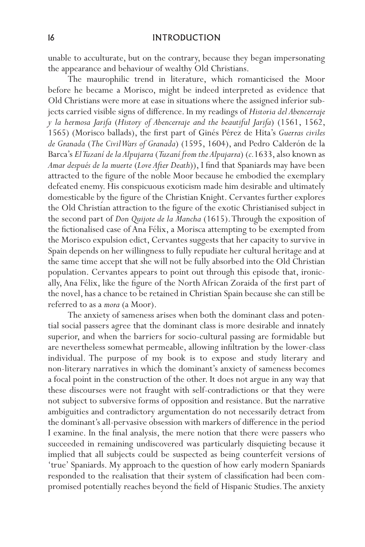unable to acculturate, but on the contrary, because they began impersonating the appearance and behaviour of wealthy Old Christians.

The maurophilic trend in literature, which romanticised the Moor before he became a Morisco, might be indeed interpreted as evidence that Old Christians were more at ease in situations where the assigned inferior subjects carried visible signs of difference. In my readings of *Historia del Abencerraje y la hermosa Jarifa* (*History of Abencerraje and the beautiful Jarifa*) (1561, 1562, 1565) (Morisco ballads), the first part of Ginés Pérez de Hita's *Guerras civiles de Granada* (*The Civil Wars of Granada*) (1595, 1604), and Pedro Calderón de la Barca's *El Tuzaní de la Alpujarra* (*Tuzaní from the Alpujarra*) (*c.*1633, also known as *Amar después de la muerte* (*Love After Death*)), I find that Spaniards may have been attracted to the figure of the noble Moor because he embodied the exemplary defeated enemy. His conspicuous exoticism made him desirable and ultimately domesticable by the figure of the Christian Knight. Cervantes further explores the Old Christian attraction to the figure of the exotic Christianised subject in the second part of *Don Quijote de la Mancha* (1615). Through the exposition of the fictionalised case of Ana Félix, a Morisca attempting to be exempted from the Morisco expulsion edict, Cervantes suggests that her capacity to survive in Spain depends on her willingness to fully repudiate her cultural heritage and at the same time accept that she will not be fully absorbed into the Old Christian population. Cervantes appears to point out through this episode that, ironically, Ana Félix, like the figure of the North African Zoraida of the first part of the novel, has a chance to be retained in Christian Spain because she can still be referred to as a *mora* (a Moor).

The anxiety of sameness arises when both the dominant class and potential social passers agree that the dominant class is more desirable and innately superior, and when the barriers for socio-cultural passing are formidable but are nevertheless somewhat permeable, allowing infiltration by the lower-class individual. The purpose of my book is to expose and study literary and non-literary narratives in which the dominant's anxiety of sameness becomes a focal point in the construction of the other. It does not argue in any way that these discourses were not fraught with self-contradictions or that they were not subject to subversive forms of opposition and resistance. But the narrative ambiguities and contradictory argumentation do not necessarily detract from the dominant's all-pervasive obsession with markers of difference in the period I examine. In the final analysis, the mere notion that there were passers who succeeded in remaining undiscovered was particularly disquieting because it implied that all subjects could be suspected as being counterfeit versions of 'true' Spaniards. My approach to the question of how early modern Spaniards responded to the realisation that their system of classification had been compromised potentially reaches beyond the field of Hispanic Studies. The anxiety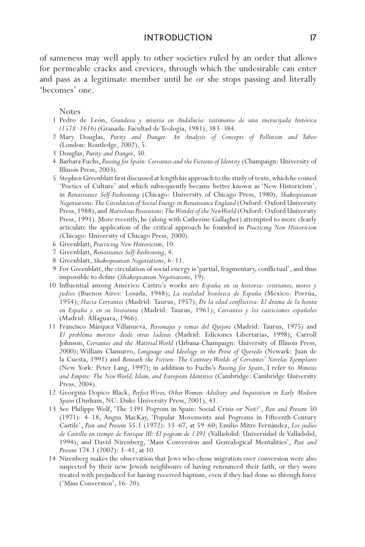of sameness may well apply to other societies ruled by an order that allows for permeable cracks and crevices, through which the undesirable can enter and pass as a legitimate member until he or she stops passing and literally 'becomes' one.

#### Notes

- 1 Pedro de León, *Grandeza y miseria en Andalucía: testimonio de una encrucijada histórica (1578–1616)* (Granada: Facultad de Teología, 1981), 383–384.
- 2 Mary Douglas, *Purity and Danger: An Analysis of Concepts of Pollution and Taboo* (London: Routledge, 2002), 5.
- 3 Douglas, *Purity and Danger*, 50.
- 4 Barbara Fuchs, *Passing for Spain: Cervantes and the Fictions of Identity* (Champaign: University of Illinois Press, 2003).
- 5 Stephen Greenblatt first discussed at length his approach to the study of texts, which he coined 'Poetics of Culture' and which subsequently became better known as 'New Historicism', in *Renaissance Self-Fashioning* (Chicago: University of Chicago Press, 1980), *Shakespearean Negotiations: The Circulation of Social Energy in Renaissance England* (Oxford: Oxford University Press, 1988), and *Marvelous Possessions: The Wonder of the New World* (Oxford: Oxford University Press, 1991). More recently, he (along with Catherine Gallagher) attempted to more clearly articulate the application of the critical approach he founded in *Practicing New Historicism* (Chicago: University of Chicago Press, 2000).
- 6 Greenblatt, *Practicing New Historicism*, 10.
- 7 Greenblatt, *Renaissance Self-Fashioning*, 4.
- 8 Greenblatt, *Shakespearean Negotiations*, 6–11.
- 9 For Greenblatt, the circulation of social energy is 'partial, fragmentary, conflictual', and thus impossible to define (*Shakespearean Negotiations*, 19).
- 10 Influential among Américo Castro's works are *España en su historia: cristianos, moros y judíos* (Buenos Aires: Losada, 1948); *La realidad histórica de España* (México: Porrúa, 1954); *Hacia Cervantes* (Madrid: Taurus, 1957); *De la edad conflictiva: El drama de la honra en España y en su literatura* (Madrid: Taurus, 1961); *Cervantes y los casticismos españoles* (Madrid: Alfaguara, 1966).
- 11 Francisco Márquez Villanueva, *Personajes y temas del Quijote* (Madrid: Taurus, 1975) and *El problema morisco desde otras laderas* (Madrid: Ediciones Libertarias, 1998); Carroll Johnson, *Cervantes and the Material World* (Urbana-Champaign: University of Illinois Press, 2000); William Clamurro, *Language and Ideology in the Prose of Quevedo* (Newark: Juan de la Cuesta, 1991) and *Beneath the Fiction: The Contrary Worlds of Cervantes' Novelas Ejemplares* (New York: Peter Lang, 1997); in addition to Fuchs's *Passing for Spain*, I refer to *Mimesis and Empire: The New World, Islam, and European Identities* (Cambridge: Cambridge University Press, 2004).
- 12 Georgina Dopico Black, *Perfect Wives, Other Women: Adultery and Inquisition in Early Modern Spain* (Durham, NC: Duke University Press, 2001), 41.
- 13 See Philippe Wolf, 'The 1391 Pogrom in Spain: Social Crisis or Not?', *Past and Present* 50 (1971): 4–18; Angus MacKay, 'Popular Movements and Pogroms in Fifteenth-Century Castile', *Past and Present* 55.1 (1972): 33–67, at 59–60; Emilio Mitre Fernández, *Los judíos de Castilla en tiempo de Enrique III: El pogrom de 1391* (Valladolid: Universidad de Valladolid, 1994); and David Nirenberg, 'Mass Conversion and Genealogical Mentalities', *Past and Present* 174.1 (2002): 3–41, at 10.
- 14 Nirenberg makes the observation that Jews who chose migration over conversion were also suspected by their new Jewish neighbours of having renounced their faith, or they were treated with prejudiced for having received baptism, even if they had done so through force ('Mass Conversion', 16–20).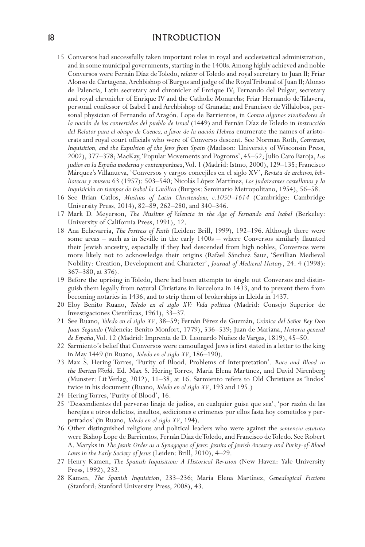- 15 Conversos had successfully taken important roles in royal and ecclesiastical administration, and in some municipal governments, starting in the 1400s. Among highly achieved and noble Conversos were Fernán Díaz de Toledo, *relator* of Toledo and royal secretary to Juan II; Friar Alonso de Cartagena, Archbishop of Burgos and judge of the Royal Tribunal of Juan II; Alonso de Palencia, Latin secretary and chronicler of Enrique IV; Fernando del Pulgar, secretary and royal chronicler of Enrique IV and the Catholic Monarchs; Friar Hernando de Talavera, personal confessor of Isabel I and Archbishop of Granada; and Francisco de Villalobos, personal physician of Fernando of Aragón. Lope de Barrientos, in *Contra algunos zizañadores de la nación de los convertidos del pueblo de Israel* (1449) and Fernán Díaz de Toledo in *Instrucción del Relator para el obispo de Cuenca, a favor de la nación Hebrea* enumerate the names of aristocrats and royal court officials who were of Converso descent. See Norman Roth, *Conversos, Inquisition, and the Expulsion of the Jews from Spain* (Madison: University of Wisconsin Press, 2002), 377–378; MacKay, 'Popular Movements and Pogroms', 45–52; Julio Caro Baroja, *Los judíos en la España moderna y contemporánea*, Vol. 1 (Madrid: Istmo, 2000), 129–135; Francisco Márquez's Villanueva, 'Conversos y cargos concejiles en el siglo XV', *Revista de archivos, bibliotecas y museos* 63 (1957): 503–540; Nicolás López Martínez, *Los judaizantes castellanos y la Inquisición en tiempos de Isabel la Católica* (Burgos: Seminario Metropolitano, 1954), 56–58.
- 16 See Brian Catlos, *Muslims of Latin Christendom, c.1050–1614* (Cambridge: Cambridge University Press, 2014), 82–89, 262–280, and 340–346.
- 17 Mark D. Meyerson, *The Muslims of Valencia in the Age of Fernando and Isabel* (Berkeley: University of California Press, 1991), 12.
- 18 Ana Echevarría, *The Fortress of Faith* (Leiden: Brill, 1999), 192–196. Although there were some areas  $-$  such as in Seville in the early  $1400s -$  where Conversos similarly flaunted their Jewish ancestry, especially if they had descended from high nobles, Conversos were more likely not to acknowledge their origins (Rafael Sánchez Sauz, 'Sevillian Medieval Nobility: Creation, Development and Character', *Journal of Medieval History*, 24. 4 (1998): 367–380, at 376).
- 19 Before the uprising in Toledo, there had been attempts to single out Conversos and distinguish them legally from natural Christians in Barcelona in 1433, and to prevent them from becoming notaries in 1436, and to strip them of brokerships in Lleida in 1437.
- 20 Eloy Benito Ruano, *Toledo en el siglo XV: Vida política* (Madrid: Consejo Superior de Investigaciones Científicas, 1961), 33–37.
- 21 See Ruano, *Toledo en el siglo XV*, 38–59; Fernán Pérez de Guzmán, *Crónica del Señor Rey Don Juan Segundo* (Valencia: Benito Monfort, 1779), 536–539; Juan de Mariana, *Historia general de España*, Vol. 12 (Madrid: Imprenta de D. Leonardo Nuñez de Vargas, 1819), 45–50.
- 22 Sarmiento's belief that Conversos were camouflaged Jews is first stated in a letter to the king in May 1449 (in Ruano, *Toledo en el siglo XV*, 186–190).
- 23 Max S. Hering Torres, 'Purity of Blood. Problems of Interpretation'. *Race and Blood in the Iberian World*. Ed. Max S. Hering Torres, María Elena Martínez, and David Nirenberg (Munster: Lit Verlag, 2012), 11–38, at 16. Sarmiento refers to Old Christians as 'lindos' twice in his document (Ruano, *Toledo en el siglo XV*, 193 and 195.)
- 24 Hering Torres, 'Purity of Blood', 16.
- 25 'Descendientes del perverso linaje de judíos, en cualquier guise que sea', 'por razón de las herejías e otros delictos, insultos, sediciones e crímenes por ellos fasta hoy cometidos y perpetrados' (in Ruano, *Toledo en el siglo XV*, 194).
- 26 Other distinguished religious and political leaders who were against the *sentencia-estatuto* were Bishop Lope de Barrientos, Fernán Díaz de Toledo, and Francisco de Toledo. See Robert A. Maryks in *The Jesuit Order as a Synagogue of Jews: Jesuits of Jewish Ancestry and Purity-of-Blood Laws in the Early Society of Jesus* (Leiden: Brill, 2010), 4–29.
- 27 Henry Kamen, *The Spanish Inquisition: A Historical Revision* (New Haven: Yale University Press, 1992), 232.
- 28 Kamen, *The Spanish Inquisition*, 233–236; María Elena Martínez, *Genealogical Fictions* (Stanford: Stanford University Press, 2008), 43.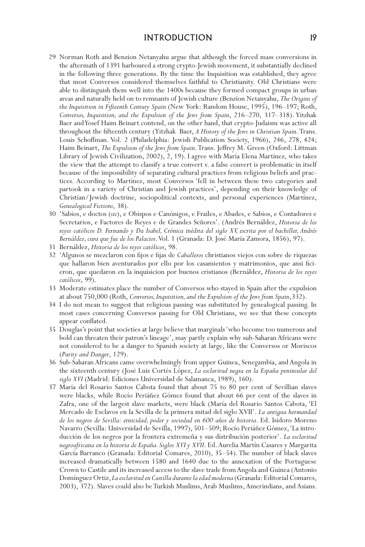- 29 Norman Roth and Benzion Netanyahu argue that although the forced mass conversions in the aftermath of 1391 harboured a strong crypto-Jewish movement, it substantially declined in the following three generations. By the time the Inquisition was established, they agree that most Conversos considered themselves faithful to Christianity. Old Christians were able to distinguish them well into the 1400s because they formed compact groups in urban areas and naturally held on to remnants of Jewish culture (Benzion Netanyahu, *The Origins of the Inquisition in Fifteenth Century Spain* (New York: Random House, 1995), 196–197; Roth, *Conversos, Inquisition, and the Expulsion of the Jews from Spain*, 216–270, 317–318). Yitzhak Baer and Yosef Haim Beinart contend, on the other hand, that crypto-Judaism was active all throughout the fifteenth century (Yitzhak Baer, *A History of the Jews in Christian Spain.* Trans. Louis Schoffman. Vol. 2 (Philadelphia: Jewish Publication Society, 1966), 246, 278, 424; Haim Beinart, *The Expulsion of the Jews from Spain*. Trans. Jeffrey M. Green (Oxford: Littman Library of Jewish Civilization, 2002), 2, 19). I agree with María Elena Martínez, who takes the view that the attempt to classify a true convert v. a false convert is problematic in itself because of the impossibility of separating cultural practices from religious beliefs and practices. According to Martínez, most Conversos 'fell in between these two categories and partook in a variety of Christian and Jewish practices', depending on their knowledge of Christian/Jewish doctrine, sociopolitical contexts, and personal experiences (Martínez, *Genealogical Fictions*, 38).
- 30 'Sabios, e doctos (*sic*), e Obispos e Canónigos, e Frailes, e Abades, e Sabios, e Contadores e Secretarios, e Factores de Reyes e de Grandes Señores'. (Andrés Bernáldez, *Historia de los reyes católicos D. Fernando y Da Isabel, Crónica inédita del siglo XV, escrita por el bachiller, Andrés Bernáldez, cura que fue de los Palacios*. Vol. 1 (Granada: D. José María Zamora, 1856), 97).
- 31 Bernáldez, *Historia de los reyes católicos*, 98.
- 32 'Algunos se mezclaron con fijos e fijas de *Caballeros* christianos viejos con sobre de riquezas que hallaron bien aventurados por ello por los casamientos y matrimonios, que ansi ficieron, que quedaron en la inquisicion por buenos cristianos (Bernáldez, *Historia de los reyes católicos*, 99).
- 33 Moderate estimates place the number of Conversos who stayed in Spain after the expulsion at about 750,000 (Roth, *Conversos, Inquisition, and the Expulsion of the Jews from Spain*,332).
- 34 I do not mean to suggest that religious passing was substituted by genealogical passing. In most cases concerning Conversos passing for Old Christians, we see that these concepts appear conflated.
- 35 Douglas's point that societies at large believe that marginals 'who become too numerous and bold can threaten their patron's lineage', may partly explain why sub-Saharan Africans were not considered to be a danger to Spanish society at large, like the Conversos or Moriscos (*Purity and Danger*, 129).
- 36 Sub-Saharan Africans came overwhelmingly from upper Guinea, Senegambia, and Angola in the sixteenth century (José Luis Cortés López, *La esclavitud negra en la España peninsular del siglo XVI* (Madrid: Ediciones Universidad de Salamanca, 1989), 160).
- 37 María del Rosario Santos Cabota found that about 75 to 80 per cent of Sevillian slaves were blacks, while Rocío Periáñez Gómez found that about 66 per cent of the slaves in Zafra, one of the largest slave markets, were black (María del Rosario Santos Cabota, 'El Mercado de Esclavos en la Sevilla de la primera mitad del siglo XVII'. *La antigua hermandad de los negros de Sevilla: etnicidad, poder y sociedad en 600 años de historia*. Ed. Isidoro Moreno Navarro (Sevilla: Universidad de Sevilla, 1997), 501–509; Rocío Periáñez Gómez, 'La introducción de los negros por la frontera extremeña y sus distribución posterior'. *La esclavitud negroafricana en la historia de España. Siglos XVI y XVII*. Ed. Aurelia Martín Casares y Margarita García Barranco (Granada: Editorial Comares, 2010), 35–54). The number of black slaves increased dramatically between 1580 and 1640 due to the annexation of the Portuguese Crown to Castile and its increased access to the slave trade from Angola and Guinea (Antonio Domínguez Ortiz, *La esclavitud en Castilla durante la edad moderna* (Granada: Editorial Comares, 2003), 372). Slaves could also be Turkish Muslims, Arab Muslims, Amerindians, and Asians.